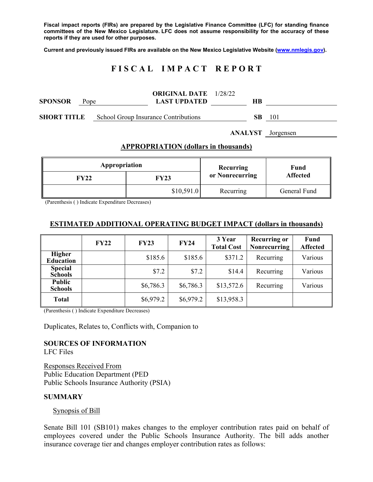**Fiscal impact reports (FIRs) are prepared by the Legislative Finance Committee (LFC) for standing finance committees of the New Mexico Legislature. LFC does not assume responsibility for the accuracy of these reports if they are used for other purposes.** 

**Current and previously issued FIRs are available on the New Mexico Legislative Website (www.nmlegis.gov).** 

# **F I S C A L I M P A C T R E P O R T**

| <b>SPONSOR</b> | Pope | <b>ORIGINAL DATE</b> 1/28/22<br><b>LAST UPDATED</b> | HВ  |     |
|----------------|------|-----------------------------------------------------|-----|-----|
| SHORT TITLE    |      | School Group Insurance Contributions                | SB. | 101 |

**ANALYST** Jorgensen

### **APPROPRIATION (dollars in thousands)**

| Appropriation |            | Recurring       | Fund            |  |
|---------------|------------|-----------------|-----------------|--|
| FY22          | FY23       | or Nonrecurring | <b>Affected</b> |  |
|               | \$10,591.0 | Recurring       | General Fund    |  |

(Parenthesis ( ) Indicate Expenditure Decreases)

# **ESTIMATED ADDITIONAL OPERATING BUDGET IMPACT (dollars in thousands)**

|                                   | FY22 | <b>FY23</b> | <b>FY24</b> | 3 Year<br><b>Total Cost</b> | <b>Recurring or</b><br>Nonrecurring | <b>Fund</b><br><b>Affected</b> |
|-----------------------------------|------|-------------|-------------|-----------------------------|-------------------------------------|--------------------------------|
| <b>Higher</b><br><b>Education</b> |      | \$185.6     | \$185.6     | \$371.2                     | Recurring                           | Various                        |
| <b>Special</b><br><b>Schools</b>  |      | \$7.2       | \$7.2       | \$14.4                      | Recurring                           | Various                        |
| <b>Public</b><br><b>Schools</b>   |      | \$6,786.3   | \$6,786.3   | \$13,572.6                  | Recurring                           | Various                        |
| <b>Total</b>                      |      | \$6,979.2   | \$6,979.2   | \$13,958.3                  |                                     |                                |

(Parenthesis ( ) Indicate Expenditure Decreases)

Duplicates, Relates to, Conflicts with, Companion to

# **SOURCES OF INFORMATION**

LFC Files

Responses Received From Public Education Department (PED Public Schools Insurance Authority (PSIA)

#### **SUMMARY**

Synopsis of Bill

Senate Bill 101 (SB101) makes changes to the employer contribution rates paid on behalf of employees covered under the Public Schools Insurance Authority. The bill adds another insurance coverage tier and changes employer contribution rates as follows: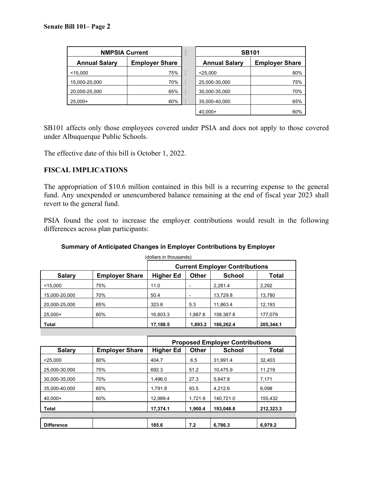| <b>NMPSIA Current</b> |                       |  | <b>SB101</b>         |                       |  |
|-----------------------|-----------------------|--|----------------------|-----------------------|--|
| <b>Annual Salary</b>  | <b>Employer Share</b> |  | <b>Annual Salary</b> | <b>Employer Share</b> |  |
| < 15.000              | 75%                   |  | < 25,000             | 80%                   |  |
| 15,000-20,000         | 70%                   |  | 25,000-30,000        | 75%                   |  |
| 20,000-25,000         | 65%                   |  | 30,000-35,000        | 70%                   |  |
| $25,000+$             | 60%                   |  | 35,000-40,000        | 65%                   |  |
|                       |                       |  | $40.000+$            | 60%                   |  |

SB101 affects only those employees covered under PSIA and does not apply to those covered under Albuquerque Public Schools.

The effective date of this bill is October 1, 2022.

# **FISCAL IMPLICATIONS**

The appropriation of \$10.6 million contained in this bill is a recurring expense to the general fund. Any unexpended or unencumbered balance remaining at the end of fiscal year 2023 shall revert to the general fund.

PSIA found the cost to increase the employer contributions would result in the following differences across plan participants:

|               |                       | <b>Current Employer Contributions</b>                      |         |           |           |  |
|---------------|-----------------------|------------------------------------------------------------|---------|-----------|-----------|--|
| <b>Salary</b> | <b>Employer Share</b> | <b>Higher Ed</b><br><b>School</b><br><b>Other</b><br>Total |         |           |           |  |
| $<$ 15.000    | 75%                   | 11.0                                                       | -       | 2,281.4   | 2,292     |  |
| 15,000-20,000 | 70%                   | 50.4                                                       |         | 13,729.8  | 13,780    |  |
| 20.000-25.000 | 65%                   | 323.8                                                      | 5.3     | 11,863.4  | 12,193    |  |
| $25,000+$     | 60%                   | 16,803.3                                                   | 1,887.8 | 158,387.8 | 177,079   |  |
| <b>Total</b>  |                       | 17,188.5                                                   | 1,893.2 | 186,262.4 | 205,344.1 |  |

|                   |                       | <b>Proposed Employer Contributions</b> |         |               |           |
|-------------------|-----------------------|----------------------------------------|---------|---------------|-----------|
| <b>Salary</b>     | <b>Employer Share</b> | <b>Higher Ed</b>                       | Other   | <b>School</b> | Total     |
| < 25,000          | 80%                   | 404.7                                  | 6.5     | 31.991.4      | 32.403    |
| 25.000-30.000     | 75%                   | 692.3                                  | 51.2    | 10.475.9      | 11.219    |
| 30.000-35.000     | 70%                   | 1.496.0                                | 27.3    | 5.647.8       | 7.171     |
| 35.000-40.000     | 65%                   | 1.791.8                                | 93.5    | 4.212.6       | 6,098     |
| $40.000+$         | 60%                   | 12.989.4                               | 1.721.9 | 140,721.0     | 155,432   |
| Total             |                       | 17,374.1                               | 1.900.4 | 193,048.8     | 212,323.3 |
|                   |                       |                                        |         |               |           |
| <b>Difference</b> |                       | 185.6                                  | 7.2     | 6.786.3       | 6.979.2   |